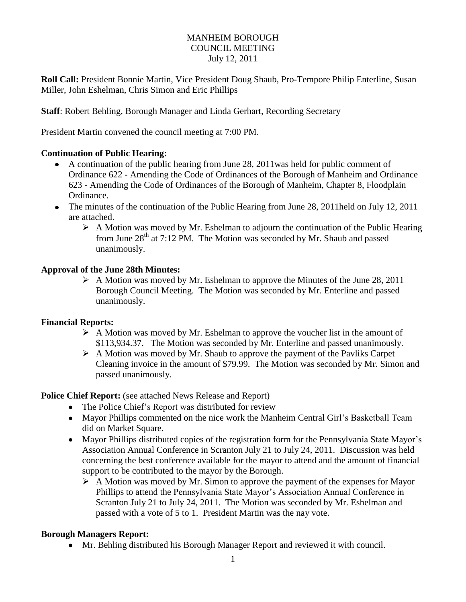### MANHEIM BOROUGH COUNCIL MEETING July 12, 2011

**Roll Call:** President Bonnie Martin, Vice President Doug Shaub, Pro-Tempore Philip Enterline, Susan Miller, John Eshelman, Chris Simon and Eric Phillips

**Staff**: Robert Behling, Borough Manager and Linda Gerhart, Recording Secretary

President Martin convened the council meeting at 7:00 PM.

### **Continuation of Public Hearing:**

- A continuation of the public hearing from June 28, 2011was held for public comment of Ordinance 622 - Amending the Code of Ordinances of the Borough of Manheim and Ordinance 623 - Amending the Code of Ordinances of the Borough of Manheim, Chapter 8, Floodplain Ordinance.
- The minutes of the continuation of the Public Hearing from June 28, 2011held on July 12, 2011 are attached.
	- $\triangleright$  A Motion was moved by Mr. Eshelman to adjourn the continuation of the Public Hearing from June  $28<sup>th</sup>$  at 7:12 PM. The Motion was seconded by Mr. Shaub and passed unanimously.

#### **Approval of the June 28th Minutes:**

 $\triangleright$  A Motion was moved by Mr. Eshelman to approve the Minutes of the June 28, 2011 Borough Council Meeting. The Motion was seconded by Mr. Enterline and passed unanimously.

### **Financial Reports:**

- $\triangleright$  A Motion was moved by Mr. Eshelman to approve the voucher list in the amount of \$113,934.37. The Motion was seconded by Mr. Enterline and passed unanimously.
- $\triangleright$  A Motion was moved by Mr. Shaub to approve the payment of the Pavliks Carpet Cleaning invoice in the amount of \$79.99. The Motion was seconded by Mr. Simon and passed unanimously.

**Police Chief Report:** (see attached News Release and Report)

- The Police Chief's Report was distributed for review
- Mayor Phillips commented on the nice work the Manheim Central Girl's Basketball Team did on Market Square.
- Mayor Phillips distributed copies of the registration form for the Pennsylvania State Mayor's Association Annual Conference in Scranton July 21 to July 24, 2011. Discussion was held concerning the best conference available for the mayor to attend and the amount of financial support to be contributed to the mayor by the Borough.
	- $\triangleright$  A Motion was moved by Mr. Simon to approve the payment of the expenses for Mayor Phillips to attend the Pennsylvania State Mayor's Association Annual Conference in Scranton July 21 to July 24, 2011. The Motion was seconded by Mr. Eshelman and passed with a vote of 5 to 1. President Martin was the nay vote.

### **Borough Managers Report:**

Mr. Behling distributed his Borough Manager Report and reviewed it with council.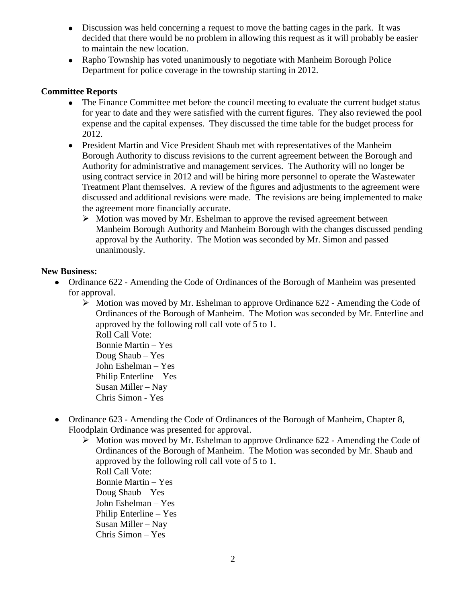- Discussion was held concerning a request to move the batting cages in the park. It was decided that there would be no problem in allowing this request as it will probably be easier to maintain the new location.
- Rapho Township has voted unanimously to negotiate with Manheim Borough Police Department for police coverage in the township starting in 2012.

# **Committee Reports**

- The Finance Committee met before the council meeting to evaluate the current budget status for year to date and they were satisfied with the current figures. They also reviewed the pool expense and the capital expenses. They discussed the time table for the budget process for 2012.
- President Martin and Vice President Shaub met with representatives of the Manheim Borough Authority to discuss revisions to the current agreement between the Borough and Authority for administrative and management services. The Authority will no longer be using contract service in 2012 and will be hiring more personnel to operate the Wastewater Treatment Plant themselves. A review of the figures and adjustments to the agreement were discussed and additional revisions were made. The revisions are being implemented to make the agreement more financially accurate.
	- $\triangleright$  Motion was moved by Mr. Eshelman to approve the revised agreement between Manheim Borough Authority and Manheim Borough with the changes discussed pending approval by the Authority. The Motion was seconded by Mr. Simon and passed unanimously.

## **New Business:**

- Ordinance 622 Amending the Code of Ordinances of the Borough of Manheim was presented for approval.
	- $\triangleright$  Motion was moved by Mr. Eshelman to approve Ordinance 622 Amending the Code of Ordinances of the Borough of Manheim. The Motion was seconded by Mr. Enterline and approved by the following roll call vote of 5 to 1. Roll Call Vote: Bonnie Martin – Yes Doug Shaub – Yes John Eshelman – Yes Philip Enterline – Yes Susan Miller – Nay Chris Simon - Yes
- Ordinance 623 Amending the Code of Ordinances of the Borough of Manheim, Chapter 8, Floodplain Ordinance was presented for approval.
	- $\triangleright$  Motion was moved by Mr. Eshelman to approve Ordinance 622 Amending the Code of Ordinances of the Borough of Manheim. The Motion was seconded by Mr. Shaub and approved by the following roll call vote of 5 to 1. Roll Call Vote: Bonnie Martin – Yes Doug Shaub – Yes John Eshelman – Yes Philip Enterline – Yes

Susan Miller – Nay Chris Simon – Yes